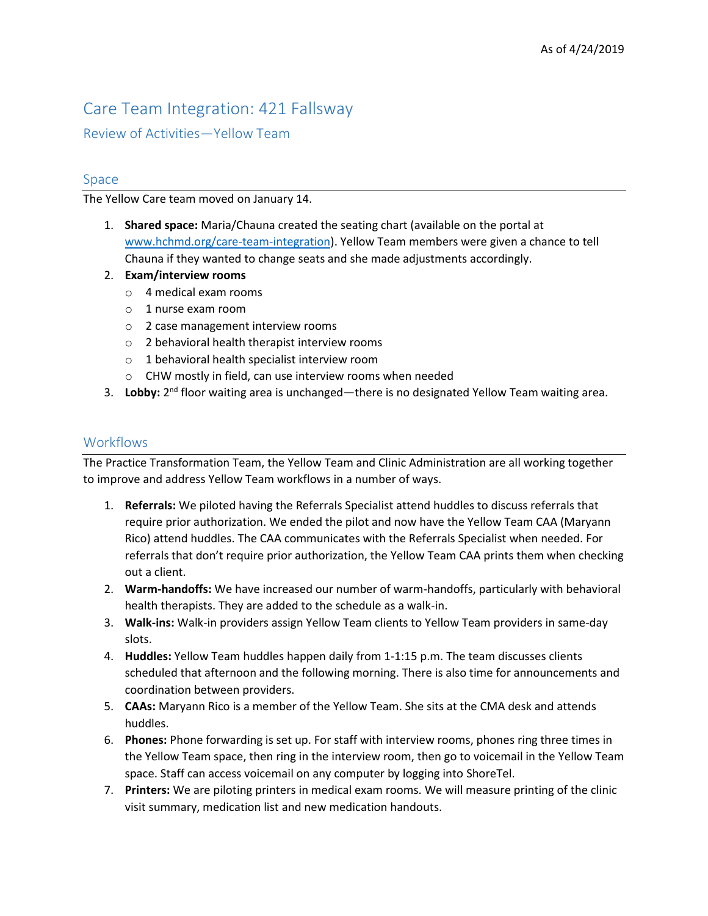# Care Team Integration: 421 Fallsway

Review of Activities—Yellow Team

## Space

The Yellow Care team moved on January 14.

- 1. **Shared space:** Maria/Chauna created the seating chart (available on the portal at [www.hchmd.org/care-team-integration\)](http://www.hchmd.org/care-team-integration). Yellow Team members were given a chance to tell Chauna if they wanted to change seats and she made adjustments accordingly.
- 2. **Exam/interview rooms**
	- o 4 medical exam rooms
	- o 1 nurse exam room
	- o 2 case management interview rooms
	- o 2 behavioral health therapist interview rooms
	- o 1 behavioral health specialist interview room
	- o CHW mostly in field, can use interview rooms when needed
- 3. Lobby: 2<sup>nd</sup> floor waiting area is unchanged—there is no designated Yellow Team waiting area.

## **Workflows**

The Practice Transformation Team, the Yellow Team and Clinic Administration are all working together to improve and address Yellow Team workflows in a number of ways.

- 1. **Referrals:** We piloted having the Referrals Specialist attend huddles to discuss referrals that require prior authorization. We ended the pilot and now have the Yellow Team CAA (Maryann Rico) attend huddles. The CAA communicates with the Referrals Specialist when needed. For referrals that don't require prior authorization, the Yellow Team CAA prints them when checking out a client.
- 2. **Warm-handoffs:** We have increased our number of warm-handoffs, particularly with behavioral health therapists. They are added to the schedule as a walk-in.
- 3. **Walk-ins:** Walk-in providers assign Yellow Team clients to Yellow Team providers in same-day slots.
- 4. **Huddles:** Yellow Team huddles happen daily from 1-1:15 p.m. The team discusses clients scheduled that afternoon and the following morning. There is also time for announcements and coordination between providers.
- 5. **CAAs:** Maryann Rico is a member of the Yellow Team. She sits at the CMA desk and attends huddles.
- 6. **Phones:** Phone forwarding is set up. For staff with interview rooms, phones ring three times in the Yellow Team space, then ring in the interview room, then go to voicemail in the Yellow Team space. Staff can access voicemail on any computer by logging into ShoreTel.
- 7. **Printers:** We are piloting printers in medical exam rooms. We will measure printing of the clinic visit summary, medication list and new medication handouts.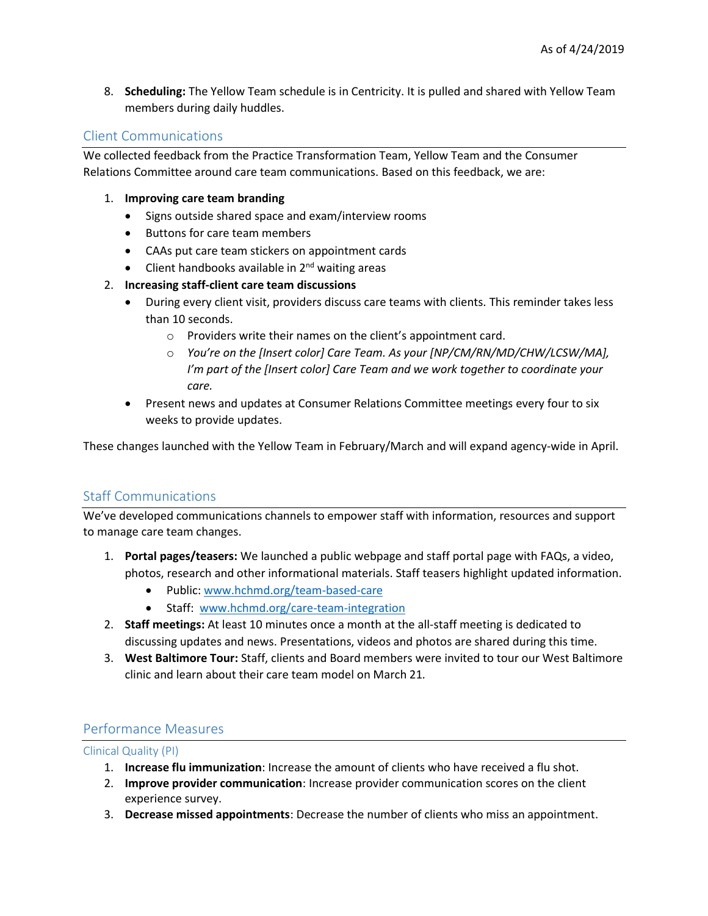8. **Scheduling:** The Yellow Team schedule is in Centricity. It is pulled and shared with Yellow Team members during daily huddles.

## Client Communications

We collected feedback from the Practice Transformation Team, Yellow Team and the Consumer Relations Committee around care team communications. Based on this feedback, we are:

- 1. **Improving care team branding**
	- Signs outside shared space and exam/interview rooms
	- Buttons for care team members
	- CAAs put care team stickers on appointment cards
	- $\bullet$  Client handbooks available in  $2^{nd}$  waiting areas

#### 2. **Increasing staff-client care team discussions**

- During every client visit, providers discuss care teams with clients. This reminder takes less than 10 seconds.
	- o Providers write their names on the client's appointment card.
	- o *You're on the [Insert color] Care Team. As your [NP/CM/RN/MD/CHW/LCSW/MA], I'm part of the [Insert color] Care Team and we work together to coordinate your care.*
- Present news and updates at Consumer Relations Committee meetings every four to six weeks to provide updates.

These changes launched with the Yellow Team in February/March and will expand agency-wide in April.

## Staff Communications

We've developed communications channels to empower staff with information, resources and support to manage care team changes.

- 1. **Portal pages/teasers:** We launched a public webpage and staff portal page with FAQs, a video, photos, research and other informational materials. Staff teasers highlight updated information.
	- Public: [www.hchmd.org/team-based-care](https://www.hchmd.org/team-based-care)
	- Staff: [www.hchmd.org/care-team-integration](http://www.hchmd.org/care-team-integration)
- 2. **Staff meetings:** At least 10 minutes once a month at the all-staff meeting is dedicated to discussing updates and news. Presentations, videos and photos are shared during this time.
- 3. **West Baltimore Tour:** Staff, clients and Board members were invited to tour our West Baltimore clinic and learn about their care team model on March 21*.*

### Performance Measures

Clinical Quality (PI)

- 1. **Increase flu immunization**: Increase the amount of clients who have received a flu shot.
- 2. **Improve provider communication**: Increase provider communication scores on the client experience survey.
- 3. **Decrease missed appointments**: Decrease the number of clients who miss an appointment.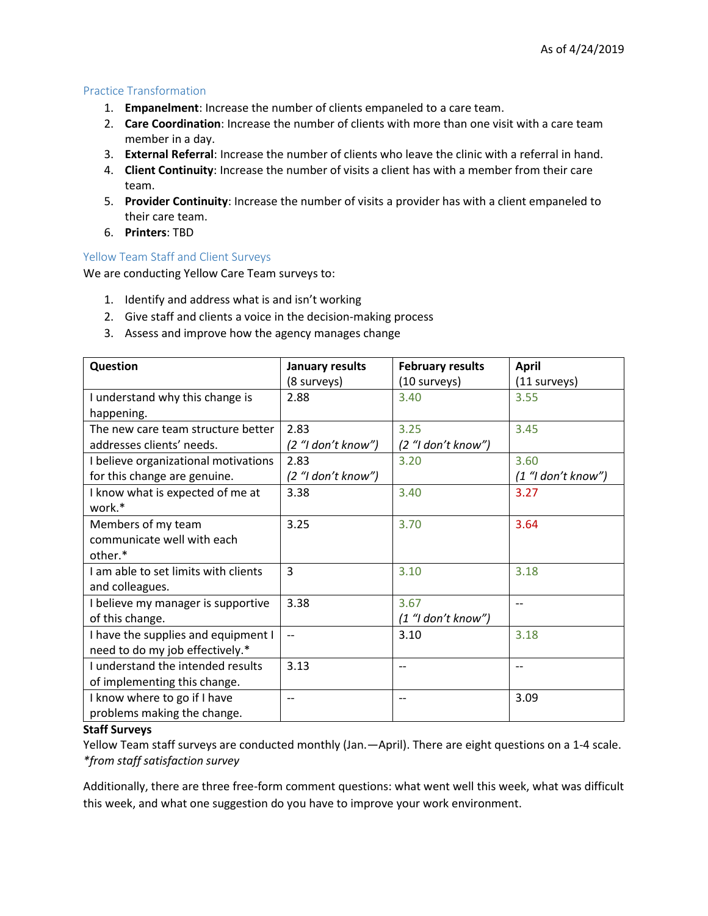#### Practice Transformation

- 1. **Empanelment**: Increase the number of clients empaneled to a care team.
- 2. **Care Coordination**: Increase the number of clients with more than one visit with a care team member in a day.
- 3. **External Referral**: Increase the number of clients who leave the clinic with a referral in hand.
- 4. **Client Continuity**: Increase the number of visits a client has with a member from their care team.
- 5. **Provider Continuity**: Increase the number of visits a provider has with a client empaneled to their care team.
- 6. **Printers**: TBD

#### Yellow Team Staff and Client Surveys

We are conducting Yellow Care Team surveys to:

- 1. Identify and address what is and isn't working
- 2. Give staff and clients a voice in the decision-making process
- 3. Assess and improve how the agency manages change

| Question                             | January results          | <b>February results</b> | <b>April</b>         |
|--------------------------------------|--------------------------|-------------------------|----------------------|
|                                      | (8 surveys)              | (10 surveys)            | (11 surveys)         |
| I understand why this change is      | 2.88                     | 3.40                    | 3.55                 |
| happening.                           |                          |                         |                      |
| The new care team structure better   | 2.83                     | 3.25                    | 3.45                 |
| addresses clients' needs.            | (2 "I don't know")       | (2 "I don't know")      |                      |
| I believe organizational motivations | 2.83                     | 3.20                    | 3.60                 |
| for this change are genuine.         | (2 "I don't know")       |                         | $(1$ "I don't know") |
| I know what is expected of me at     | 3.38                     | 3.40                    | 3.27                 |
| work.*                               |                          |                         |                      |
| Members of my team                   | 3.25                     | 3.70                    | 3.64                 |
| communicate well with each           |                          |                         |                      |
| other.*                              |                          |                         |                      |
| I am able to set limits with clients | $\overline{3}$           | 3.10                    | 3.18                 |
| and colleagues.                      |                          |                         |                      |
| I believe my manager is supportive   | 3.38                     | 3.67                    | $-$                  |
| of this change.                      |                          | $(1$ "I don't know")    |                      |
| I have the supplies and equipment I  | $-$                      | 3.10                    | 3.18                 |
| need to do my job effectively.*      |                          |                         |                      |
| I understand the intended results    | 3.13                     | $-$                     | --                   |
| of implementing this change.         |                          |                         |                      |
| I know where to go if I have         | $\overline{\phantom{a}}$ | $-$                     | 3.09                 |
| problems making the change.          |                          |                         |                      |

#### **Staff Surveys**

Yellow Team staff surveys are conducted monthly (Jan.—April). There are eight questions on a 1-4 scale. *\*from staff satisfaction survey*

Additionally, there are three free-form comment questions: what went well this week, what was difficult this week, and what one suggestion do you have to improve your work environment.